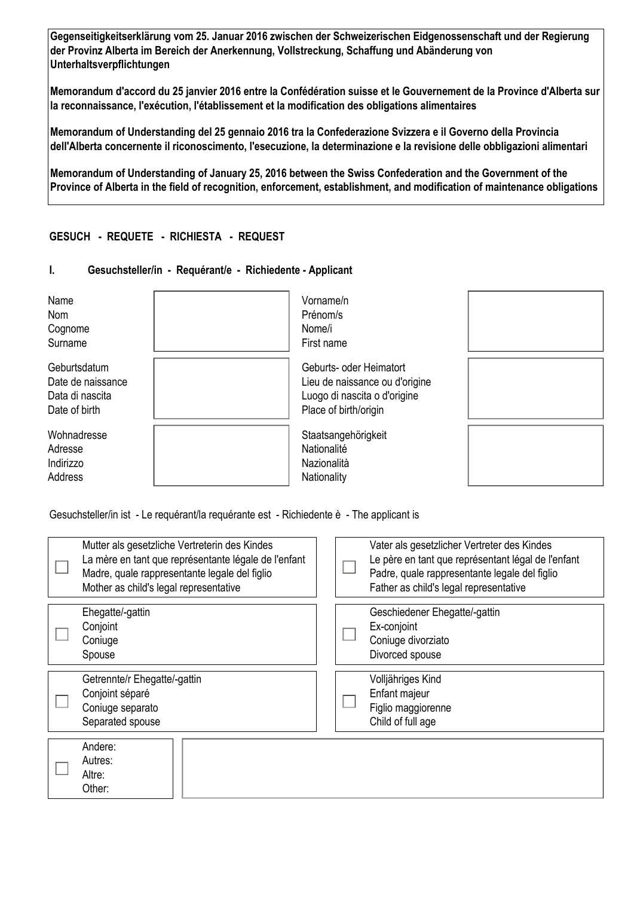**Gegenseitigkeitserklärung vom 25. Januar 2016 zwischen der Schweizerischen Eidgenossenschaft und der Regierung der Provinz Alberta im Bereich der Anerkennung, Vollstreckung, Schaffung und Abänderung von Unterhaltsverpflichtungen** 

**Memorandum d'accord du 25 janvier 2016 entre la Confédération suisse et le Gouvernement de la Province d'Alberta sur la reconnaissance, l'exécution, l'établissement et la modification des obligations alimentaires** 

**Memorandum of Understanding del 25 gennaio 2016 tra la Confederazione Svizzera e il Governo della Provincia dell'Alberta concernente il riconoscimento, l'esecuzione, la determinazione e la revisione delle obbligazioni alimentari** 

**Memorandum of Understanding of January 25, 2016 between the Swiss Confederation and the Government of the Province of Alberta in the field of recognition, enforcement, establishment, and modification of maintenance obligations**

# **GESUCH - REQUETE - RICHIESTA - REQUEST**

## **I. Gesuchsteller/in - Requérant/e - Richiedente - Applicant**

| Name<br>Nom<br>Cognome<br>Surname                                     |                                                                                                                    | Vorname/n<br>Prénom/s<br>Nome/i<br>First name                    |  |
|-----------------------------------------------------------------------|--------------------------------------------------------------------------------------------------------------------|------------------------------------------------------------------|--|
| Geburtsdatum<br>Date de naissance<br>Data di nascita<br>Date of birth | Geburts- oder Heimatort<br>Lieu de naissance ou d'origine<br>Luogo di nascita o d'origine<br>Place of birth/origin |                                                                  |  |
| Wohnadresse<br>Adresse<br>Indirizzo<br>Address                        |                                                                                                                    | Staatsangehörigkeit<br>Nationalité<br>Nazionalità<br>Nationality |  |

Gesuchsteller/in ist - Le requérant/la requérante est - Richiedente è - The applicant is

| Mutter als gesetzliche Vertreterin des Kindes<br>La mère en tant que représentante légale de l'enfant<br>Madre, quale rappresentante legale del figlio<br>Mother as child's legal representative |  | Vater als gesetzlicher Vertreter des Kindes<br>Le père en tant que représentant légal de l'enfant<br>Padre, quale rappresentante legale del figlio<br>Father as child's legal representative |
|--------------------------------------------------------------------------------------------------------------------------------------------------------------------------------------------------|--|----------------------------------------------------------------------------------------------------------------------------------------------------------------------------------------------|
| Ehegatte/-gattin<br>Conjoint<br>Coniuge<br>Spouse                                                                                                                                                |  | Geschiedener Ehegatte/-gattin<br>Ex-conjoint<br>Coniuge divorziato<br>Divorced spouse                                                                                                        |
| Getrennte/r Ehegatte/-gattin<br>Conjoint séparé<br>Coniuge separato<br>Separated spouse                                                                                                          |  | Volljähriges Kind<br>Enfant majeur<br>Figlio maggiorenne<br>Child of full age                                                                                                                |
| Andere:<br>Autres:<br>Altre:<br>Other:                                                                                                                                                           |  |                                                                                                                                                                                              |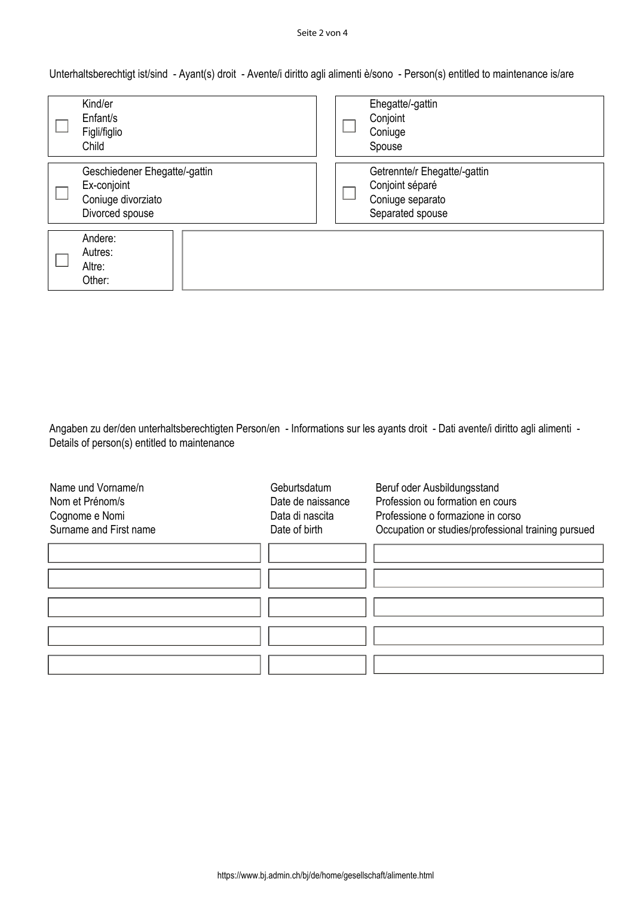#### Seite 2 von 4

Unterhaltsberechtigt ist/sind - Ayant(s) droit - Avente/i diritto agli alimenti è/sono - Person(s) entitled to maintenance is/are

| Kind/er<br>Enfant/s<br>Figli/figlio<br>Child                                          |  | Ehegatte/-gattin<br>Conjoint<br>Coniuge<br>Spouse                                       |
|---------------------------------------------------------------------------------------|--|-----------------------------------------------------------------------------------------|
| Geschiedener Ehegatte/-gattin<br>Ex-conjoint<br>Coniuge divorziato<br>Divorced spouse |  | Getrennte/r Ehegatte/-gattin<br>Conjoint séparé<br>Coniuge separato<br>Separated spouse |
| Andere:<br>Autres:<br>Altre:<br>Other:                                                |  |                                                                                         |

Angaben zu der/den unterhaltsberechtigten Person/en - Informations sur les ayants droit - Dati avente/i diritto agli alimenti - Details of person(s) entitled to maintenance

| Geburtsdatum | Beruf oder Ausbildungsstand<br>Profession ou formation en cours |
|--------------|-----------------------------------------------------------------|
|              | Professione o formazione in corso                               |
|              | Occupation or studies/professional training pursued             |
|              |                                                                 |
|              |                                                                 |
|              |                                                                 |
|              |                                                                 |
|              |                                                                 |
|              |                                                                 |
|              |                                                                 |
|              |                                                                 |
|              |                                                                 |
|              | Date de naissance<br>Data di nascita<br>Date of birth           |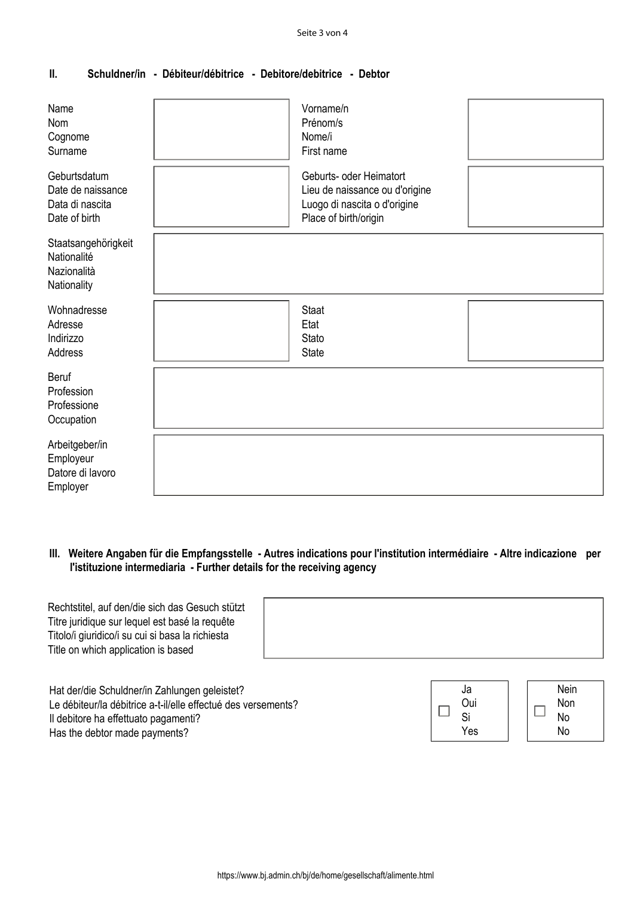# **II. Schuldner/in - Débiteur/débitrice - Debitore/debitrice - Debtor**

| Name<br>Nom<br>Cognome<br>Surname                                     | Vorname/n<br>Prénom/s<br>Nome/i<br>First name                                                                      |  |
|-----------------------------------------------------------------------|--------------------------------------------------------------------------------------------------------------------|--|
| Geburtsdatum<br>Date de naissance<br>Data di nascita<br>Date of birth | Geburts- oder Heimatort<br>Lieu de naissance ou d'origine<br>Luogo di nascita o d'origine<br>Place of birth/origin |  |
| Staatsangehörigkeit<br>Nationalité<br>Nazionalità<br>Nationality      |                                                                                                                    |  |
| Wohnadresse<br>Adresse<br>Indirizzo<br>Address                        | <b>Staat</b><br>Etat<br>Stato<br><b>State</b>                                                                      |  |
| <b>Beruf</b><br>Profession<br>Professione<br>Occupation               |                                                                                                                    |  |
| Arbeitgeber/in<br>Employeur<br>Datore di lavoro<br>Employer           |                                                                                                                    |  |

# **III. Weitere Angaben für die Empfangsstelle - Autres indications pour l'institution intermédiaire - Altre indicazione per l'istituzione intermediaria - Further details for the receiving agency**

| Rechtstitel, auf den/die sich das Gesuch stützt<br>Titre juridique sur lequel est basé la requête<br>Titolo/i giuridico/i su cui si basa la richiesta<br>Title on which application is based |                 |                          |
|----------------------------------------------------------------------------------------------------------------------------------------------------------------------------------------------|-----------------|--------------------------|
| Hat der/die Schuldner/in Zahlungen geleistet?<br>Le débiteur/la débitrice a-t-il/elle effectué des versements?<br>Il debitore ha effettuato pagamenti?                                       | Ja<br>Oui<br>Si | <b>Nein</b><br>Non<br>No |

Yes

No

Has the debtor made payments?